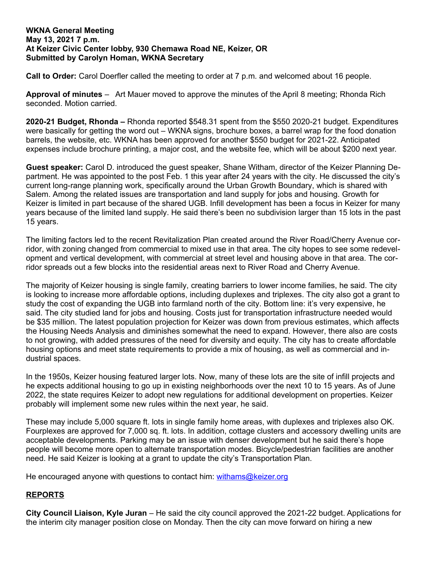## **WKNA General Meeting May 13, 2021 7 p.m. At Keizer Civic Center lobby, 930 Chemawa Road NE, Keizer, OR Submitted by Carolyn Homan, WKNA Secretary**

**Call to Order:** Carol Doerfler called the meeting to order at 7 p.m. and welcomed about 16 people.

**Approval of minutes** – Art Mauer moved to approve the minutes of the April 8 meeting; Rhonda Rich seconded. Motion carried.

**2020-21 Budget, Rhonda –** Rhonda reported \$548.31 spent from the \$550 2020-21 budget. Expenditures were basically for getting the word out – WKNA signs, brochure boxes, a barrel wrap for the food donation barrels, the website, etc. WKNA has been approved for another \$550 budget for 2021-22. Anticipated expenses include brochure printing, a major cost, and the website fee, which will be about \$200 next year.

**Guest speaker:** Carol D. introduced the guest speaker, Shane Witham, director of the Keizer Planning Department. He was appointed to the post Feb. 1 this year after 24 years with the city. He discussed the city's current long-range planning work, specifically around the Urban Growth Boundary, which is shared with Salem. Among the related issues are transportation and land supply for jobs and housing. Growth for Keizer is limited in part because of the shared UGB. Infill development has been a focus in Keizer for many years because of the limited land supply. He said there's been no subdivision larger than 15 lots in the past 15 years.

The limiting factors led to the recent Revitalization Plan created around the River Road/Cherry Avenue corridor, with zoning changed from commercial to mixed use in that area. The city hopes to see some redevelopment and vertical development, with commercial at street level and housing above in that area. The corridor spreads out a few blocks into the residential areas next to River Road and Cherry Avenue.

The majority of Keizer housing is single family, creating barriers to lower income families, he said. The city is looking to increase more affordable options, including duplexes and triplexes. The city also got a grant to study the cost of expanding the UGB into farmland north of the city. Bottom line: it's very expensive, he said. The city studied land for jobs and housing. Costs just for transportation infrastructure needed would be \$35 million. The latest population projection for Keizer was down from previous estimates, which affects the Housing Needs Analysis and diminishes somewhat the need to expand. However, there also are costs to not growing, with added pressures of the need for diversity and equity. The city has to create affordable housing options and meet state requirements to provide a mix of housing, as well as commercial and industrial spaces.

In the 1950s, Keizer housing featured larger lots. Now, many of these lots are the site of infill projects and he expects additional housing to go up in existing neighborhoods over the next 10 to 15 years. As of June 2022, the state requires Keizer to adopt new regulations for additional development on properties. Keizer probably will implement some new rules within the next year, he said.

These may include 5,000 square ft. lots in single family home areas, with duplexes and triplexes also OK. Fourplexes are approved for 7,000 sq. ft. lots. In addition, cottage clusters and accessory dwelling units are acceptable developments. Parking may be an issue with denser development but he said there's hope people will become more open to alternate transportation modes. Bicycle/pedestrian facilities are another need. He said Keizer is looking at a grant to update the city's Transportation Plan.

He encouraged anyone with questions to contact him: [withams@keizer.org](mailto:withams@keizer.org)

## **REPORTS**

**City Council Liaison, Kyle Juran** – He said the city council approved the 2021-22 budget. Applications for the interim city manager position close on Monday. Then the city can move forward on hiring a new